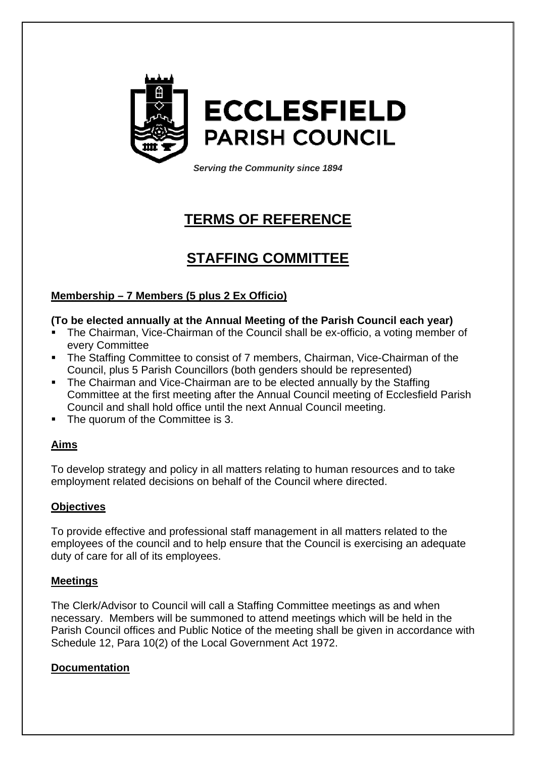

*Serving the Community since 1894*

# **TERMS OF REFERENCE**

# **STAFFING COMMITTEE**

### **Membership – 7 Members (5 plus 2 Ex Officio)**

### **(To be elected annually at the Annual Meeting of the Parish Council each year)**

- The Chairman, Vice-Chairman of the Council shall be ex-officio, a voting member of every Committee
- The Staffing Committee to consist of 7 members, Chairman, Vice-Chairman of the Council, plus 5 Parish Councillors (both genders should be represented)
- The Chairman and Vice-Chairman are to be elected annually by the Staffing Committee at the first meeting after the Annual Council meeting of Ecclesfield Parish Council and shall hold office until the next Annual Council meeting.
- The quorum of the Committee is 3.

#### **Aims**

To develop strategy and policy in all matters relating to human resources and to take employment related decisions on behalf of the Council where directed.

#### **Objectives**

To provide effective and professional staff management in all matters related to the employees of the council and to help ensure that the Council is exercising an adequate duty of care for all of its employees.

#### **Meetings**

The Clerk/Advisor to Council will call a Staffing Committee meetings as and when necessary. Members will be summoned to attend meetings which will be held in the Parish Council offices and Public Notice of the meeting shall be given in accordance with Schedule 12, Para 10(2) of the Local Government Act 1972.

#### **Documentation**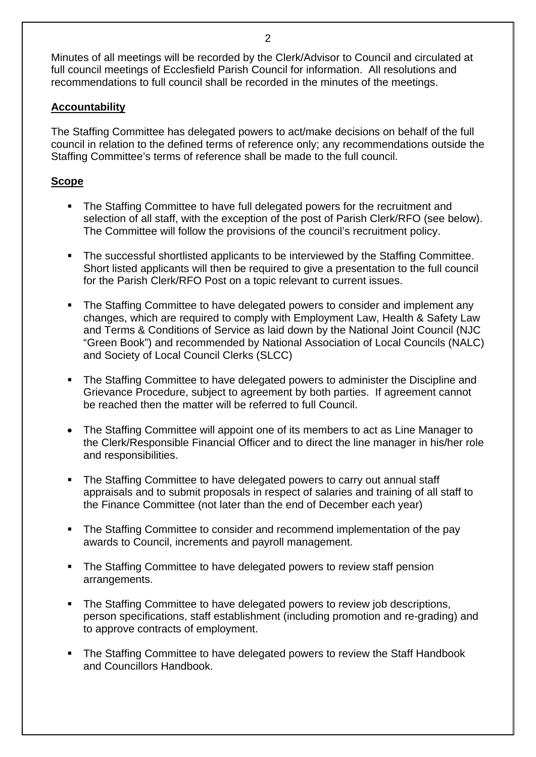Minutes of all meetings will be recorded by the Clerk/Advisor to Council and circulated at full council meetings of Ecclesfield Parish Council for information. All resolutions and recommendations to full council shall be recorded in the minutes of the meetings.

#### **Accountability**

The Staffing Committee has delegated powers to act/make decisions on behalf of the full council in relation to the defined terms of reference only; any recommendations outside the Staffing Committee's terms of reference shall be made to the full council.

#### **Scope**

- The Staffing Committee to have full delegated powers for the recruitment and selection of all staff, with the exception of the post of Parish Clerk/RFO (see below). The Committee will follow the provisions of the council's recruitment policy.
- The successful shortlisted applicants to be interviewed by the Staffing Committee. Short listed applicants will then be required to give a presentation to the full council for the Parish Clerk/RFO Post on a topic relevant to current issues.
- The Staffing Committee to have delegated powers to consider and implement any changes, which are required to comply with Employment Law, Health & Safety Law and Terms & Conditions of Service as laid down by the National Joint Council (NJC "Green Book") and recommended by National Association of Local Councils (NALC) and Society of Local Council Clerks (SLCC)
- The Staffing Committee to have delegated powers to administer the Discipline and Grievance Procedure, subject to agreement by both parties. If agreement cannot be reached then the matter will be referred to full Council.
- The Staffing Committee will appoint one of its members to act as Line Manager to the Clerk/Responsible Financial Officer and to direct the line manager in his/her role and responsibilities.
- The Staffing Committee to have delegated powers to carry out annual staff appraisals and to submit proposals in respect of salaries and training of all staff to the Finance Committee (not later than the end of December each year)
- The Staffing Committee to consider and recommend implementation of the pay awards to Council, increments and payroll management.
- The Staffing Committee to have delegated powers to review staff pension arrangements.
- The Staffing Committee to have delegated powers to review job descriptions, person specifications, staff establishment (including promotion and re-grading) and to approve contracts of employment.
- The Staffing Committee to have delegated powers to review the Staff Handbook and Councillors Handbook.